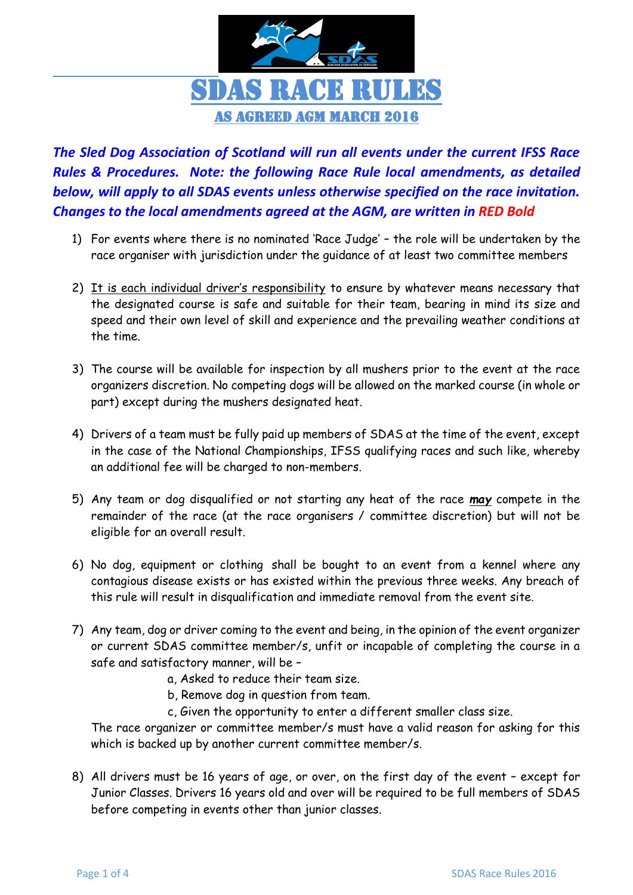

*The Sled Dog Association of Scotland will run all events under the current IFSS Race Rules & Procedures. Note: the following Race Rule local amendments, as detailed below, will apply to all SDAS events unless otherwise specified on the race invitation. Changes to the local amendments agreed at the AGM, are written in RED Bold*

- 1) For events where there is no nominated 'Race Judge' the role will be undertaken by the race organiser with jurisdiction under the guidance of at least two committee members
- 2) It is each individual driver's responsibility to ensure by whatever means necessary that the designated course is safe and suitable for their team, bearing in mind its size and speed and their own level of skill and experience and the prevailing weather conditions at the time.
- 3) The course will be available for inspection by all mushers prior to the event at the race organizers discretion. No competing dogs will be allowed on the marked course (in whole or part) except during the mushers designated heat.
- 4) Drivers of a team must be fully paid up members of SDAS at the time of the event, except in the case of the National Championships, IFSS qualifying races and such like, whereby an additional fee will be charged to non-members.
- 5) Any team or dog disqualified or not starting any heat of the race *may* compete in the remainder of the race (at the race organisers / committee discretion) but will not be eligible for an overall result.
- 6) No dog, equipment or clothing shall be bought to an event from a kennel where any contagious disease exists or has existed within the previous three weeks. Any breach of this rule will result in disqualification and immediate removal from the event site.
- 7) Any team, dog or driver coming to the event and being, in the opinion of the event organizer or current SDAS committee member/s, unfit or incapable of completing the course in a safe and satisfactory manner, will be –
	- a, Asked to reduce their team size.
	- b, Remove dog in question from team.
	- c, Given the opportunity to enter a different smaller class size.

The race organizer or committee member/s must have a valid reason for asking for this which is backed up by another current committee member/s.

8) All drivers must be 16 years of age, or over, on the first day of the event – except for Junior Classes. Drivers 16 years old and over will be required to be full members of SDAS before competing in events other than junior classes.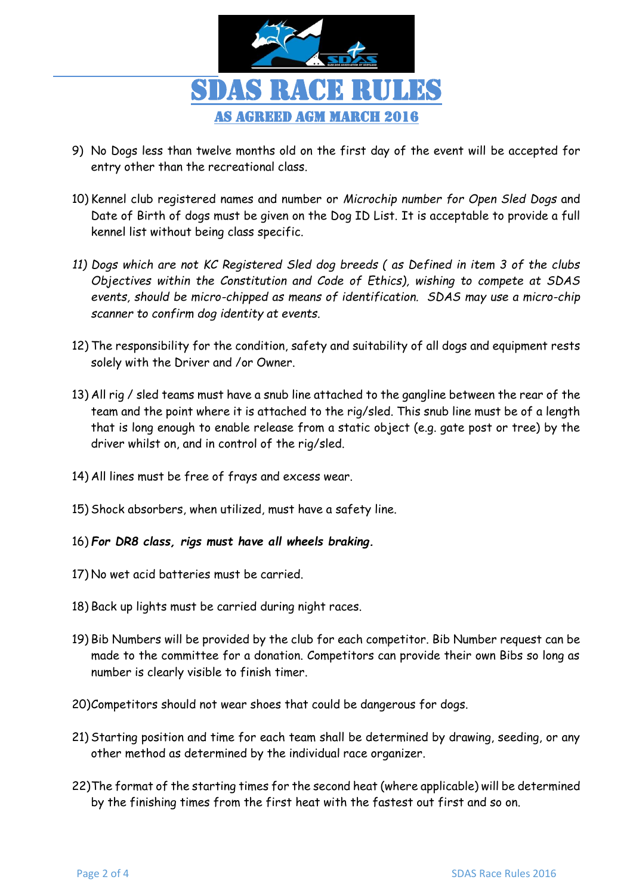

- 9) No Dogs less than twelve months old on the first day of the event will be accepted for entry other than the recreational class.
- 10) Kennel club registered names and number or *Microchip number for Open Sled Dogs* and Date of Birth of dogs must be given on the Dog ID List. It is acceptable to provide a full kennel list without being class specific.
- *11) Dogs which are not KC Registered Sled dog breeds ( as Defined in item 3 of the clubs Objectives within the Constitution and Code of Ethics), wishing to compete at SDAS events, should be micro-chipped as means of identification. SDAS may use a micro-chip scanner to confirm dog identity at events.*
- 12) The responsibility for the condition, safety and suitability of all dogs and equipment rests solely with the Driver and /or Owner.
- 13) All rig / sled teams must have a snub line attached to the gangline between the rear of the team and the point where it is attached to the rig/sled. This snub line must be of a length that is long enough to enable release from a static object (e.g. gate post or tree) by the driver whilst on, and in control of the rig/sled.
- 14) All lines must be free of frays and excess wear.
- 15) Shock absorbers, when utilized, must have a safety line.
- 16) *For DR8 class, rigs must have all wheels braking.*
- 17) No wet acid batteries must be carried.
- 18) Back up lights must be carried during night races.
- 19) Bib Numbers will be provided by the club for each competitor. Bib Number request can be made to the committee for a donation. Competitors can provide their own Bibs so long as number is clearly visible to finish timer.
- 20)Competitors should not wear shoes that could be dangerous for dogs.
- 21) Starting position and time for each team shall be determined by drawing, seeding, or any other method as determined by the individual race organizer.
- 22)The format of the starting times for the second heat (where applicable) will be determined by the finishing times from the first heat with the fastest out first and so on.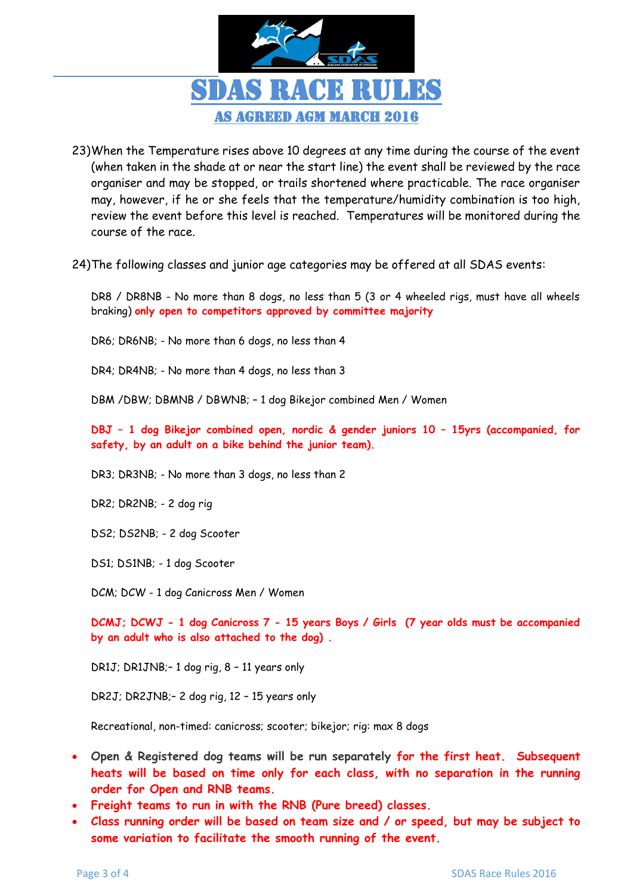

- 23)When the Temperature rises above 10 degrees at any time during the course of the event (when taken in the shade at or near the start line) the event shall be reviewed by the race organiser and may be stopped, or trails shortened where practicable. The race organiser may, however, if he or she feels that the temperature/humidity combination is too high, review the event before this level is reached. Temperatures will be monitored during the course of the race.
- 24)The following classes and junior age categories may be offered at all SDAS events:

DR8 / DR8NB - No more than 8 dogs, no less than 5 (3 or 4 wheeled rigs, must have all wheels braking) **only open to competitors approved by committee majority**

DR6; DR6NB; - No more than 6 dogs, no less than 4

DR4; DR4NB; - No more than 4 dogs, no less than 3

DBM /DBW; DBMNB / DBWNB; – 1 dog Bikejor combined Men / Women

**DBJ – 1 dog Bikejor combined open, nordic & gender juniors 10 – 15yrs (accompanied, for safety, by an adult on a bike behind the junior team).**

DR3; DR3NB; - No more than 3 dogs, no less than 2

DR2; DR2NB; - 2 dog rig

DS2; DS2NB; - 2 dog Scooter

DS1; DS1NB; - 1 dog Scooter

DCM; DCW - 1 dog Canicross Men / Women

**DCMJ; DCWJ - 1 dog Canicross 7 - 15 years Boys / Girls (7 year olds must be accompanied by an adult who is also attached to the dog) .**

DR1J; DR1JNB;– 1 dog rig, 8 – 11 years only

DR2J; DR2JNB;– 2 dog rig, 12 – 15 years only

Recreational, non-timed: canicross; scooter; bikejor; rig: max 8 dogs

- **Open & Registered dog teams will be run separately for the first heat. Subsequent heats will be based on time only for each class, with no separation in the running order for Open and RNB teams.**
- **Freight teams to run in with the RNB (Pure breed) classes.**
- **Class running order will be based on team size and / or speed, but may be subject to some variation to facilitate the smooth running of the event.**